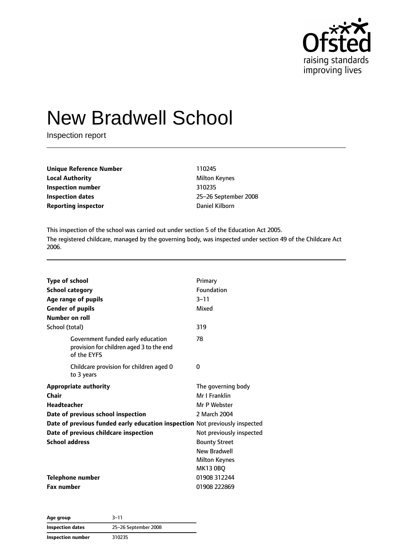

# New Bradwell School

Inspection report

| <b>Unique Reference Number</b> | 110245               |
|--------------------------------|----------------------|
| <b>Local Authority</b>         | <b>Milton Keynes</b> |
| Inspection number              | 310235               |
| Inspection dates               | 25-26 Septeml        |
| <b>Reporting inspector</b>     | Daniel Kilborn       |

**Unique Reference Number** 110245 **Milton Keynes Inspection number** 310235 **Inspection dates** 25–26 September 2008

This inspection of the school was carried out under section 5 of the Education Act 2005. The registered childcare, managed by the governing body, was inspected under section 49 of the Childcare Act 2006.

| <b>Type of school</b><br><b>School category</b><br>Age range of pupils |                                                                               | Primary<br>Foundation<br>$3 - 11$ |
|------------------------------------------------------------------------|-------------------------------------------------------------------------------|-----------------------------------|
| <b>Gender of pupils</b>                                                |                                                                               | Mixed                             |
| Number on roll                                                         |                                                                               |                                   |
| School (total)                                                         |                                                                               | 319                               |
| of the EYFS                                                            | Government funded early education<br>provision for children aged 3 to the end | 78                                |
| to 3 years                                                             | Childcare provision for children aged 0                                       | 0                                 |
| <b>Appropriate authority</b>                                           |                                                                               | The governing body                |
| Chair                                                                  |                                                                               | Mr I Franklin                     |
| <b>Headteacher</b>                                                     |                                                                               | Mr P Webster                      |
| Date of previous school inspection                                     |                                                                               | 2 March 2004                      |
|                                                                        | Date of previous funded early education inspection Not previously inspected   |                                   |
| Date of previous childcare inspection                                  |                                                                               | Not previously inspected          |
| <b>School address</b>                                                  |                                                                               | <b>Bounty Street</b>              |
|                                                                        |                                                                               | <b>New Bradwell</b>               |
|                                                                        |                                                                               | <b>Milton Keynes</b>              |
|                                                                        |                                                                               | <b>MK13 0BQ</b>                   |
| <b>Telephone number</b>                                                |                                                                               | 01908 312244                      |
| <b>Fax number</b>                                                      |                                                                               | 01908 222869                      |

| Age group         | $3 - 11$             |
|-------------------|----------------------|
| Inspection dates  | 25-26 September 2008 |
| Inspection number | 310235               |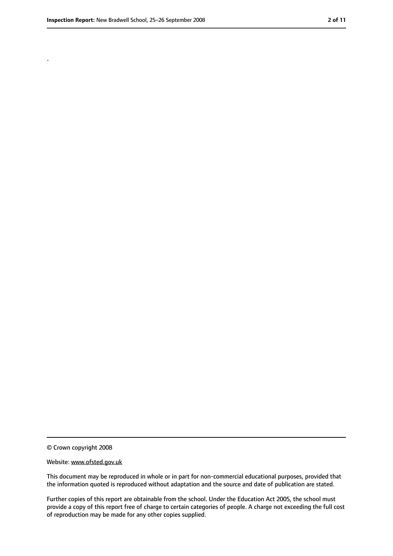.

<sup>©</sup> Crown copyright 2008

Website: www.ofsted.gov.uk

This document may be reproduced in whole or in part for non-commercial educational purposes, provided that the information quoted is reproduced without adaptation and the source and date of publication are stated.

Further copies of this report are obtainable from the school. Under the Education Act 2005, the school must provide a copy of this report free of charge to certain categories of people. A charge not exceeding the full cost of reproduction may be made for any other copies supplied.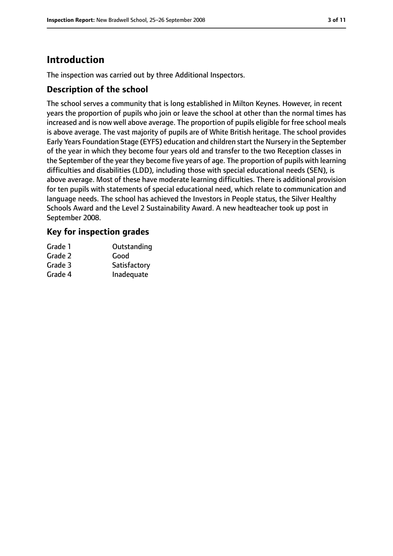# **Introduction**

The inspection was carried out by three Additional Inspectors.

#### **Description of the school**

The school serves a community that is long established in Milton Keynes. However, in recent years the proportion of pupils who join or leave the school at other than the normal times has increased and is now well above average. The proportion of pupils eligible for free school meals is above average. The vast majority of pupils are of White British heritage. The school provides Early Years Foundation Stage (EYFS) education and children start the Nursery in the September of the year in which they become four years old and transfer to the two Reception classes in the September of the year they become five years of age. The proportion of pupils with learning difficulties and disabilities (LDD), including those with special educational needs (SEN), is above average. Most of these have moderate learning difficulties. There is additional provision for ten pupils with statements of special educational need, which relate to communication and language needs. The school has achieved the Investors in People status, the Silver Healthy Schools Award and the Level 2 Sustainability Award. A new headteacher took up post in September 2008.

#### **Key for inspection grades**

| Grade 1 | Outstanding  |
|---------|--------------|
| Grade 2 | Good         |
| Grade 3 | Satisfactory |
| Grade 4 | Inadequate   |
|         |              |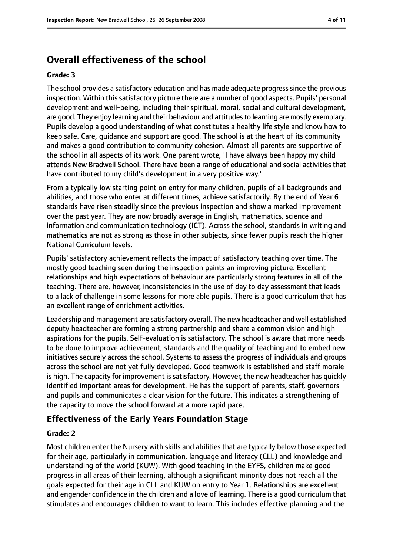# **Overall effectiveness of the school**

#### **Grade: 3**

The school provides a satisfactory education and has made adequate progresssince the previous inspection. Within this satisfactory picture there are a number of good aspects. Pupils' personal development and well-being, including their spiritual, moral, social and cultural development, are good. They enjoy learning and their behaviour and attitudes to learning are mostly exemplary. Pupils develop a good understanding of what constitutes a healthy life style and know how to keep safe. Care, guidance and support are good. The school is at the heart of its community and makes a good contribution to community cohesion. Almost all parents are supportive of the school in all aspects of its work. One parent wrote, 'I have always been happy my child attends New Bradwell School. There have been a range of educational and social activities that have contributed to my child's development in a very positive way.'

From a typically low starting point on entry for many children, pupils of all backgrounds and abilities, and those who enter at different times, achieve satisfactorily. By the end of Year 6 standards have risen steadily since the previous inspection and show a marked improvement over the past year. They are now broadly average in English, mathematics, science and information and communication technology (ICT). Across the school, standards in writing and mathematics are not as strong as those in other subjects, since fewer pupils reach the higher National Curriculum levels.

Pupils' satisfactory achievement reflects the impact of satisfactory teaching over time. The mostly good teaching seen during the inspection paints an improving picture. Excellent relationships and high expectations of behaviour are particularly strong features in all of the teaching. There are, however, inconsistencies in the use of day to day assessment that leads to a lack of challenge in some lessons for more able pupils. There is a good curriculum that has an excellent range of enrichment activities.

Leadership and management are satisfactory overall. The new headteacher and well established deputy headteacher are forming a strong partnership and share a common vision and high aspirations for the pupils. Self-evaluation is satisfactory. The school is aware that more needs to be done to improve achievement, standards and the quality of teaching and to embed new initiatives securely across the school. Systems to assess the progress of individuals and groups across the school are not yet fully developed. Good teamwork is established and staff morale is high. The capacity for improvement is satisfactory. However, the new headteacher has quickly identified important areas for development. He has the support of parents, staff, governors and pupils and communicates a clear vision for the future. This indicates a strengthening of the capacity to move the school forward at a more rapid pace.

#### **Effectiveness of the Early Years Foundation Stage**

#### **Grade: 2**

Most children enter the Nursery with skills and abilities that are typically below those expected for their age, particularly in communication, language and literacy (CLL) and knowledge and understanding of the world (KUW). With good teaching in the EYFS, children make good progress in all areas of their learning, although a significant minority does not reach all the goals expected for their age in CLL and KUW on entry to Year 1. Relationships are excellent and engender confidence in the children and a love of learning. There is a good curriculum that stimulates and encourages children to want to learn. This includes effective planning and the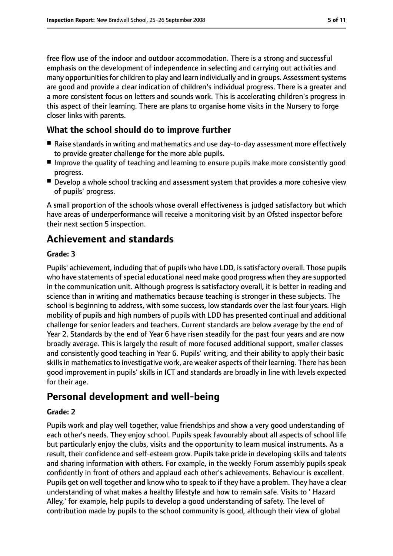free flow use of the indoor and outdoor accommodation. There is a strong and successful emphasis on the development of independence in selecting and carrying out activities and many opportunities for children to play and learn individually and in groups. Assessment systems are good and provide a clear indication of children's individual progress. There is a greater and a more consistent focus on letters and sounds work. This is accelerating children's progress in this aspect of their learning. There are plans to organise home visits in the Nursery to forge closer links with parents.

#### **What the school should do to improve further**

- Raise standards in writing and mathematics and use day-to-day assessment more effectively to provide greater challenge for the more able pupils.
- Improve the quality of teaching and learning to ensure pupils make more consistently good progress.
- Develop a whole school tracking and assessment system that provides a more cohesive view of pupils' progress.

A small proportion of the schools whose overall effectiveness is judged satisfactory but which have areas of underperformance will receive a monitoring visit by an Ofsted inspector before their next section 5 inspection.

# **Achievement and standards**

#### **Grade: 3**

Pupils' achievement, including that of pupils who have LDD, is satisfactory overall. Those pupils who have statements of special educational need make good progress when they are supported in the communication unit. Although progress is satisfactory overall, it is better in reading and science than in writing and mathematics because teaching is stronger in these subjects. The school is beginning to address, with some success, low standards over the last four years. High mobility of pupils and high numbers of pupils with LDD has presented continual and additional challenge for senior leaders and teachers. Current standards are below average by the end of Year 2. Standards by the end of Year 6 have risen steadily for the past four years and are now broadly average. This is largely the result of more focused additional support, smaller classes and consistently good teaching in Year 6. Pupils' writing, and their ability to apply their basic skills in mathematics to investigative work, are weaker aspects of their learning. There has been good improvement in pupils' skills in ICT and standards are broadly in line with levels expected for their age.

# **Personal development and well-being**

#### **Grade: 2**

Pupils work and play well together, value friendships and show a very good understanding of each other's needs. They enjoy school. Pupils speak favourably about all aspects of school life but particularly enjoy the clubs, visits and the opportunity to learn musical instruments. As a result, their confidence and self-esteem grow. Pupils take pride in developing skills and talents and sharing information with others. For example, in the weekly Forum assembly pupils speak confidently in front of others and applaud each other's achievements. Behaviour is excellent. Pupils get on well together and know who to speak to if they have a problem. They have a clear understanding of what makes a healthy lifestyle and how to remain safe. Visits to ' Hazard Alley,' for example, help pupils to develop a good understanding of safety. The level of contribution made by pupils to the school community is good, although their view of global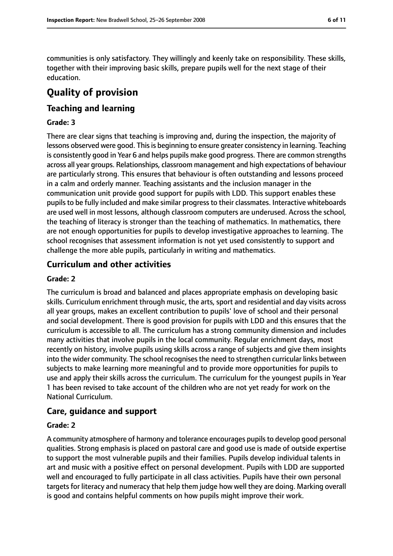communities is only satisfactory. They willingly and keenly take on responsibility. These skills, together with their improving basic skills, prepare pupils well for the next stage of their education.

# **Quality of provision**

#### **Teaching and learning**

#### **Grade: 3**

There are clear signs that teaching is improving and, during the inspection, the majority of lessons observed were good. This is beginning to ensure greater consistency in learning. Teaching is consistently good in Year 6 and helps pupils make good progress. There are common strengths across all year groups. Relationships, classroom management and high expectations of behaviour are particularly strong. This ensures that behaviour is often outstanding and lessons proceed in a calm and orderly manner. Teaching assistants and the inclusion manager in the communication unit provide good support for pupils with LDD. This support enables these pupils to be fully included and make similar progress to their classmates. Interactive whiteboards are used well in most lessons, although classroom computers are underused. Across the school, the teaching of literacy is stronger than the teaching of mathematics. In mathematics, there are not enough opportunities for pupils to develop investigative approaches to learning. The school recognises that assessment information is not yet used consistently to support and challenge the more able pupils, particularly in writing and mathematics.

#### **Curriculum and other activities**

#### **Grade: 2**

The curriculum is broad and balanced and places appropriate emphasis on developing basic skills. Curriculum enrichment through music, the arts, sport and residential and day visits across all year groups, makes an excellent contribution to pupils' love of school and their personal and social development. There is good provision for pupils with LDD and this ensures that the curriculum is accessible to all. The curriculum has a strong community dimension and includes many activities that involve pupils in the local community. Regular enrichment days, most recently on history, involve pupils using skills across a range of subjects and give them insights into the wider community. The school recognisesthe need to strengthen curricular links between subjects to make learning more meaningful and to provide more opportunities for pupils to use and apply their skills across the curriculum. The curriculum for the youngest pupils in Year 1 has been revised to take account of the children who are not yet ready for work on the National Curriculum.

#### **Care, guidance and support**

#### **Grade: 2**

A community atmosphere of harmony and tolerance encourages pupils to develop good personal qualities. Strong emphasis is placed on pastoral care and good use is made of outside expertise to support the most vulnerable pupils and their families. Pupils develop individual talents in art and music with a positive effect on personal development. Pupils with LDD are supported well and encouraged to fully participate in all class activities. Pupils have their own personal targets for literacy and numeracy that help them judge how well they are doing. Marking overall is good and contains helpful comments on how pupils might improve their work.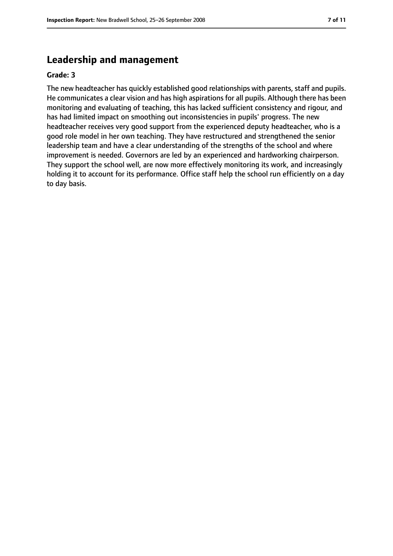### **Leadership and management**

#### **Grade: 3**

The new headteacher has quickly established good relationships with parents, staff and pupils. He communicates a clear vision and has high aspirations for all pupils. Although there has been monitoring and evaluating of teaching, this has lacked sufficient consistency and rigour, and has had limited impact on smoothing out inconsistencies in pupils' progress. The new headteacher receives very good support from the experienced deputy headteacher, who is a good role model in her own teaching. They have restructured and strengthened the senior leadership team and have a clear understanding of the strengths of the school and where improvement is needed. Governors are led by an experienced and hardworking chairperson. They support the school well, are now more effectively monitoring its work, and increasingly holding it to account for its performance. Office staff help the school run efficiently on a day to day basis.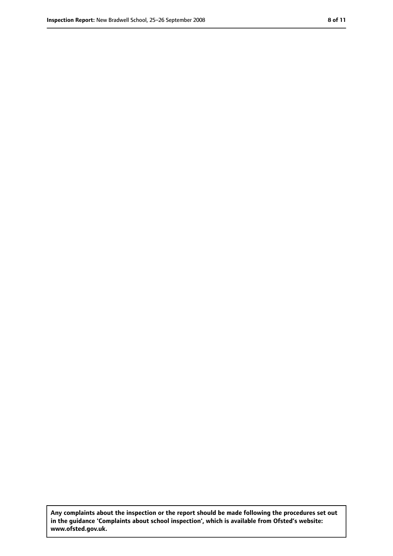**Any complaints about the inspection or the report should be made following the procedures set out in the guidance 'Complaints about school inspection', which is available from Ofsted's website: www.ofsted.gov.uk.**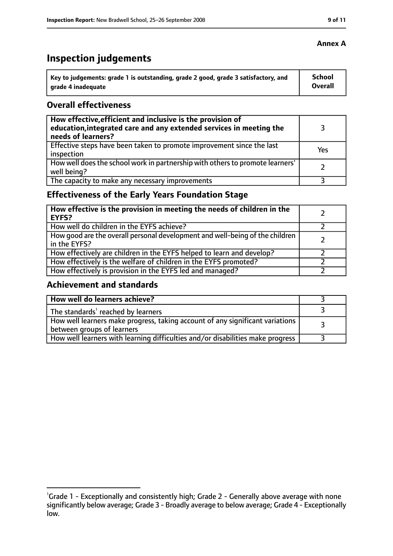# **Inspection judgements**

| Key to judgements: grade 1 is outstanding, grade 2 good, grade 3 satisfactory, and | School  |
|------------------------------------------------------------------------------------|---------|
| arade 4 inadequate                                                                 | Overall |

#### **Overall effectiveness**

| How effective, efficient and inclusive is the provision of<br>education, integrated care and any extended services in meeting the<br>needs of learners? |     |
|---------------------------------------------------------------------------------------------------------------------------------------------------------|-----|
| Effective steps have been taken to promote improvement since the last<br>inspection                                                                     | Yes |
| How well does the school work in partnership with others to promote learners'<br>well being?                                                            |     |
| The capacity to make any necessary improvements                                                                                                         |     |

# **Effectiveness of the Early Years Foundation Stage**

| How effective is the provision in meeting the needs of children in the<br><b>EYFS?</b>       |  |
|----------------------------------------------------------------------------------------------|--|
| How well do children in the EYFS achieve?                                                    |  |
| How good are the overall personal development and well-being of the children<br>in the EYFS? |  |
| How effectively are children in the EYFS helped to learn and develop?                        |  |
| How effectively is the welfare of children in the EYFS promoted?                             |  |
| How effectively is provision in the EYFS led and managed?                                    |  |

#### **Achievement and standards**

| How well do learners achieve?                                                                               |  |
|-------------------------------------------------------------------------------------------------------------|--|
| The standards <sup>1</sup> reached by learners                                                              |  |
| How well learners make progress, taking account of any significant variations<br>between groups of learners |  |
| How well learners with learning difficulties and/or disabilities make progress                              |  |

#### **Annex A**

<sup>&</sup>lt;sup>1</sup>Grade 1 - Exceptionally and consistently high; Grade 2 - Generally above average with none significantly below average; Grade 3 - Broadly average to below average; Grade 4 - Exceptionally low.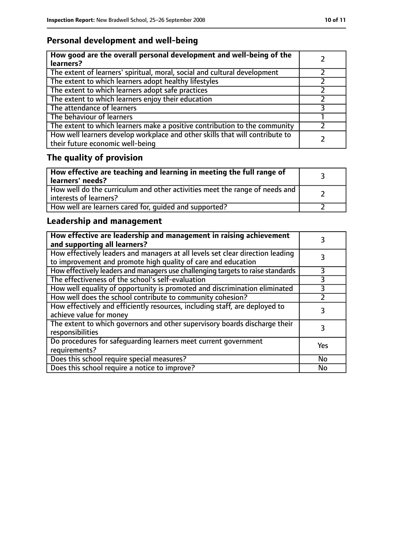# **Personal development and well-being**

| How good are the overall personal development and well-being of the<br>learners?                                 |  |
|------------------------------------------------------------------------------------------------------------------|--|
| The extent of learners' spiritual, moral, social and cultural development                                        |  |
| The extent to which learners adopt healthy lifestyles                                                            |  |
| The extent to which learners adopt safe practices                                                                |  |
| The extent to which learners enjoy their education                                                               |  |
| The attendance of learners                                                                                       |  |
| The behaviour of learners                                                                                        |  |
| The extent to which learners make a positive contribution to the community                                       |  |
| How well learners develop workplace and other skills that will contribute to<br>their future economic well-being |  |

# **The quality of provision**

| How effective are teaching and learning in meeting the full range of<br>learners' needs?                |  |
|---------------------------------------------------------------------------------------------------------|--|
| How well do the curriculum and other activities meet the range of needs and<br>  interests of learners? |  |
| How well are learners cared for, quided and supported?                                                  |  |

# **Leadership and management**

| How effective are leadership and management in raising achievement<br>and supporting all learners?                                              |     |
|-------------------------------------------------------------------------------------------------------------------------------------------------|-----|
| How effectively leaders and managers at all levels set clear direction leading<br>to improvement and promote high quality of care and education |     |
| How effectively leaders and managers use challenging targets to raise standards                                                                 |     |
| The effectiveness of the school's self-evaluation                                                                                               | 3   |
| How well equality of opportunity is promoted and discrimination eliminated                                                                      | 3   |
| How well does the school contribute to community cohesion?                                                                                      |     |
| How effectively and efficiently resources, including staff, are deployed to<br>achieve value for money                                          | 3   |
| The extent to which governors and other supervisory boards discharge their<br>responsibilities                                                  |     |
| Do procedures for safequarding learners meet current government<br>requirements?                                                                | Yes |
| Does this school require special measures?                                                                                                      | No  |
| Does this school require a notice to improve?                                                                                                   | No  |